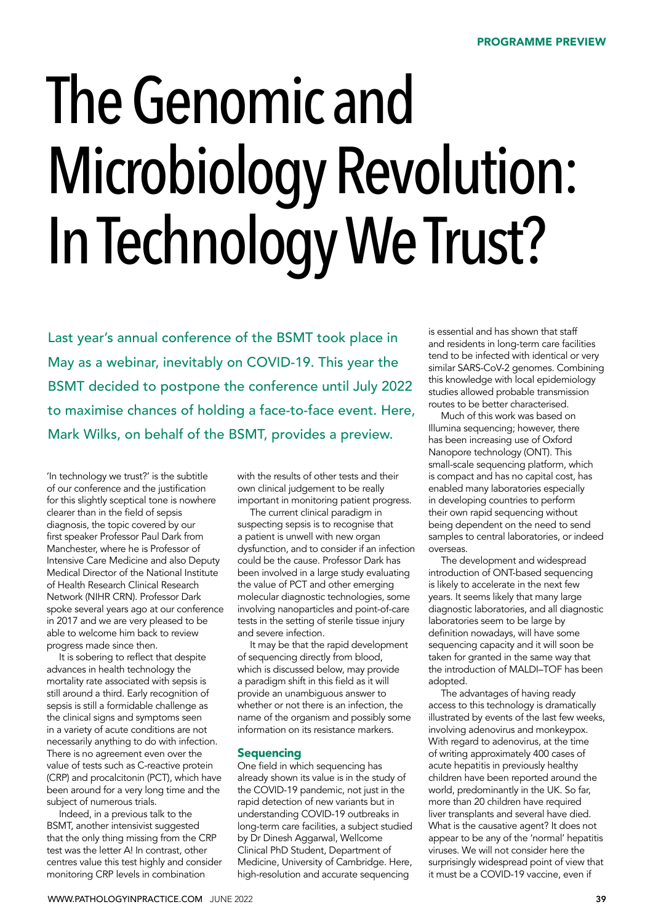# The Genomic and Microbiology Revolution: In Technology We Trust?

Last year's annual conference of the BSMT took place in May as a webinar, inevitably on COVID-19. This year the BSMT decided to postpone the conference until July 2022 to maximise chances of holding a face-to-face event. Here, Mark Wilks, on behalf of the BSMT, provides a preview.

'In technology we trust?' is the subtitle of our conference and the justification for this slightly sceptical tone is nowhere clearer than in the field of sepsis diagnosis, the topic covered by our first speaker Professor Paul Dark from Manchester, where he is Professor of Intensive Care Medicine and also Deputy Medical Director of the National Institute of Health Research Clinical Research Network (NIHR CRN). Professor Dark spoke several years ago at our conference in 2017 and we are very pleased to be able to welcome him back to review progress made since then.

It is sobering to reflect that despite advances in health technology the mortality rate associated with sepsis is still around a third. Early recognition of sepsis is still a formidable challenge as the clinical signs and symptoms seen in a variety of acute conditions are not necessarily anything to do with infection. There is no agreement even over the value of tests such as C-reactive protein (CRP) and procalcitonin (PCT), which have been around for a very long time and the subject of numerous trials.

Indeed, in a previous talk to the BSMT, another intensivist suggested that the only thing missing from the CRP test was the letter A! In contrast, other centres value this test highly and consider monitoring CRP levels in combination

with the results of other tests and their own clinical judgement to be really important in monitoring patient progress.

The current clinical paradigm in suspecting sepsis is to recognise that a patient is unwell with new organ dysfunction, and to consider if an infection could be the cause. Professor Dark has been involved in a large study evaluating the value of PCT and other emerging molecular diagnostic technologies, some involving nanoparticles and point-of-care tests in the setting of sterile tissue injury and severe infection.

It may be that the rapid development of sequencing directly from blood, which is discussed below, may provide a paradigm shift in this field as it will provide an unambiguous answer to whether or not there is an infection, the name of the organism and possibly some information on its resistance markers.

# **Sequencing**

One field in which sequencing has already shown its value is in the study of the COVID-19 pandemic, not just in the rapid detection of new variants but in understanding COVID-19 outbreaks in long-term care facilities, a subject studied by Dr Dinesh Aggarwal, Wellcome Clinical PhD Student, Department of Medicine, University of Cambridge. Here, high-resolution and accurate sequencing

is essential and has shown that staff and residents in long-term care facilities tend to be infected with identical or very similar SARS-CoV-2 genomes. Combining this knowledge with local epidemiology studies allowed probable transmission routes to be better characterised.

Much of this work was based on Illumina sequencing; however, there has been increasing use of Oxford Nanopore technology (ONT). This small-scale sequencing platform, which is compact and has no capital cost, has enabled many laboratories especially in developing countries to perform their own rapid sequencing without being dependent on the need to send samples to central laboratories, or indeed overseas.

The development and widespread introduction of ONT-based sequencing is likely to accelerate in the next few years. It seems likely that many large diagnostic laboratories, and all diagnostic laboratories seem to be large by definition nowadays, will have some sequencing capacity and it will soon be taken for granted in the same way that the introduction of MALDI–TOF has been adopted.

The advantages of having ready access to this technology is dramatically illustrated by events of the last few weeks, involving adenovirus and monkeypox. With regard to adenovirus, at the time of writing approximately 400 cases of acute hepatitis in previously healthy children have been reported around the world, predominantly in the UK. So far, more than 20 children have required liver transplants and several have died. What is the causative agent? It does not appear to be any of the 'normal' hepatitis viruses. We will not consider here the surprisingly widespread point of view that it must be a COVID-19 vaccine, even if